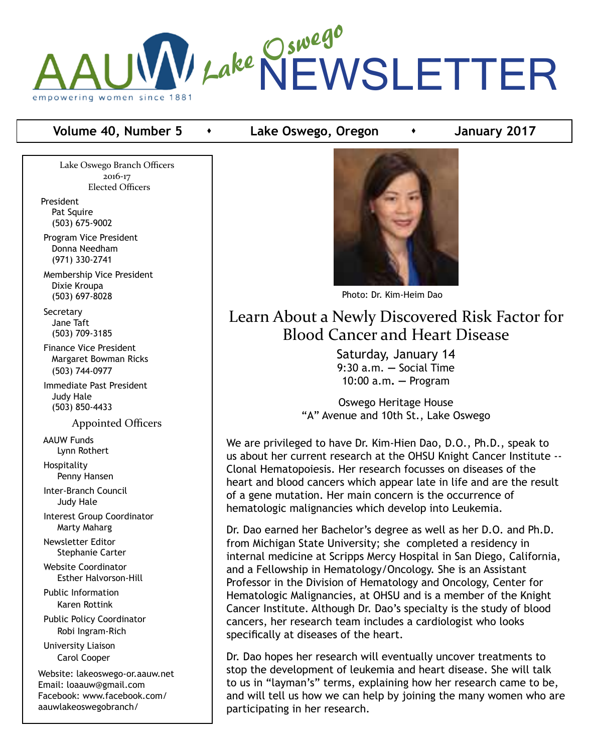

## **Volume 40, Number 5 •** Lake Oswego, Oregon **•** January 2017

Lake Oswego Branch Officers 2016-17 Elected Officers

President Pat Squire (503) 675-9002

 Program Vice President Donna Needham (971) 330-2741

 Membership Vice President Dixie Kroupa (503) 697-8028

**Secretary**  Jane Taft (503) 709-3185

 Finance Vice President Margaret Bowman Ricks (503) 744-0977

 Immediate Past President Judy Hale (503) 850-4433

Appointed Officers

 AAUW Funds Lynn Rothert

 Hospitality Penny Hansen

 Inter-Branch Council Judy Hale

 Interest Group Coordinator Marty Maharg

 Newsletter Editor Stephanie Carter

 Website Coordinator Esther Halvorson-Hill

 Public Information Karen Rottink

 Public Policy Coordinator Robi Ingram-Rich

 University Liaison Carol Cooper

Website: lakeoswego-or.aauw.net Email: loaauw@gmail.com Facebook: www.facebook.com/ aauwlakeoswegobranch/



Photo: Dr. Kim-Heim Dao

# Learn About a Newly Discovered Risk Factor for Blood Cancer and Heart Disease

Saturday, January 14 9:30 a.m. **—** Social Time 10:00 a.m**. —** Program

Oswego Heritage House "A" Avenue and 10th St., Lake Oswego

We are privileged to have Dr. Kim-Hien Dao, D.O., Ph.D., speak to us about her current research at the OHSU Knight Cancer Institute -- Clonal Hematopoiesis. Her research focusses on diseases of the heart and blood cancers which appear late in life and are the result of a gene mutation. Her main concern is the occurrence of hematologic malignancies which develop into Leukemia.

Dr. Dao earned her Bachelor's degree as well as her D.O. and Ph.D. from Michigan State University; she completed a residency in internal medicine at Scripps Mercy Hospital in San Diego, California, and a Fellowship in Hematology/Oncology. She is an Assistant Professor in the Division of Hematology and Oncology, Center for Hematologic Malignancies, at OHSU and is a member of the Knight Cancer Institute. Although Dr. Dao's specialty is the study of blood cancers, her research team includes a cardiologist who looks specifically at diseases of the heart.

Dr. Dao hopes her research will eventually uncover treatments to stop the development of leukemia and heart disease. She will talk to us in "layman's" terms, explaining how her research came to be, and will tell us how we can help by joining the many women who are participating in her research.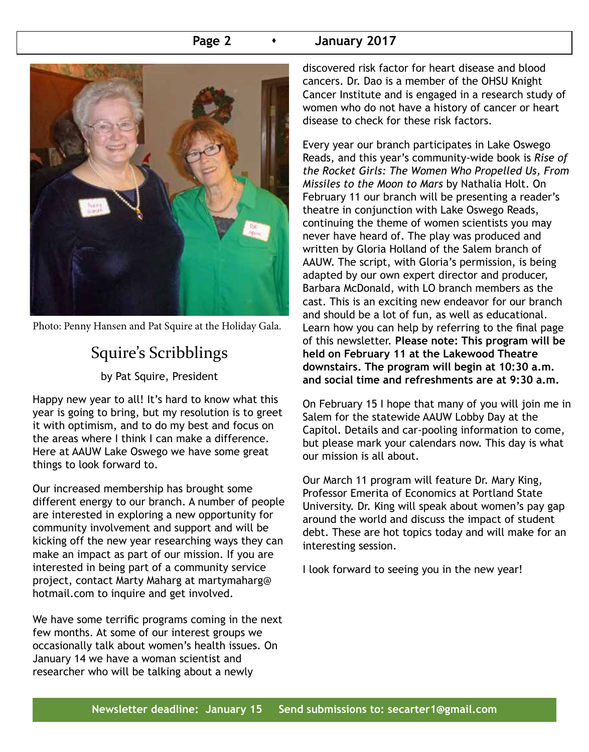### **Page 2 c c 1 January 2017**



Photo: Penny Hansen and Pat Squire at the Holiday Gala.

# Squire's Scribblings

by Pat Squire, President

Happy new year to all! It's hard to know what this year is going to bring, but my resolution is to greet it with optimism, and to do my best and focus on the areas where I think I can make a difference. Here at AAUW Lake Oswego we have some great things to look forward to.

Our increased membership has brought some different energy to our branch. A number of people are interested in exploring a new opportunity for community involvement and support and will be kicking off the new year researching ways they can make an impact as part of our mission. If you are interested in being part of a community service project, contact Marty Maharg at martymaharg@ hotmail.com to inquire and get involved.

We have some terrific programs coming in the next few months. At some of our interest groups we occasionally talk about women's health issues. On January 14 we have a woman scientist and researcher who will be talking about a newly

discovered risk factor for heart disease and blood cancers. Dr. Dao is a member of the OHSU Knight Cancer Institute and is engaged in a research study of women who do not have a history of cancer or heart disease to check for these risk factors.

Every year our branch participates in Lake Oswego Reads, and this year's community-wide book is *Rise of the Rocket Girls: The Women Who Propelled Us, From Missiles to the Moon to Mars* by Nathalia Holt. On February 11 our branch will be presenting a reader's theatre in conjunction with Lake Oswego Reads, continuing the theme of women scientists you may never have heard of. The play was produced and written by Gloria Holland of the Salem branch of AAUW. The script, with Gloria's permission, is being adapted by our own expert director and producer, Barbara McDonald, with LO branch members as the cast. This is an exciting new endeavor for our branch and should be a lot of fun, as well as educational. Learn how you can help by referring to the final page of this newsletter. **Please note: This program will be held on February 11 at the Lakewood Theatre downstairs. The program will begin at 10:30 a.m. and social time and refreshments are at 9:30 a.m.** 

On February 15 I hope that many of you will join me in Salem for the statewide AAUW Lobby Day at the Capitol. Details and car-pooling information to come, but please mark your calendars now. This day is what our mission is all about.

Our March 11 program will feature Dr. Mary King, Professor Emerita of Economics at Portland State University. Dr. King will speak about women's pay gap around the world and discuss the impact of student debt. These are hot topics today and will make for an interesting session.

I look forward to seeing you in the new year!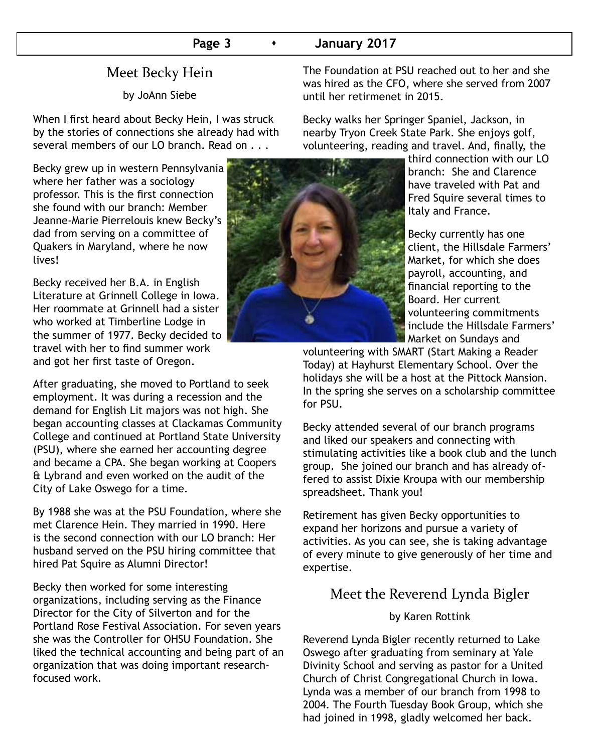# Meet Becky Hein

by JoAnn Siebe

When I first heard about Becky Hein, I was struck by the stories of connections she already had with several members of our LO branch. Read on . . .

Becky grew up in western Pennsylvania where her father was a sociology professor. This is the first connection she found with our branch: Member Jeanne-Marie Pierrelouis knew Becky's dad from serving on a committee of Quakers in Maryland, where he now lives!

Becky received her B.A. in English Literature at Grinnell College in Iowa. Her roommate at Grinnell had a sister who worked at Timberline Lodge in the summer of 1977. Becky decided to travel with her to find summer work and got her first taste of Oregon.

After graduating, she moved to Portland to seek employment. It was during a recession and the demand for English Lit majors was not high. She began accounting classes at Clackamas Community College and continued at Portland State University (PSU), where she earned her accounting degree and became a CPA. She began working at Coopers & Lybrand and even worked on the audit of the City of Lake Oswego for a time.

By 1988 she was at the PSU Foundation, where she met Clarence Hein. They married in 1990. Here is the second connection with our LO branch: Her husband served on the PSU hiring committee that hired Pat Squire as Alumni Director!

Becky then worked for some interesting organizations, including serving as the Finance Director for the City of Silverton and for the Portland Rose Festival Association. For seven years she was the Controller for OHSU Foundation. She liked the technical accounting and being part of an organization that was doing important researchfocused work.

The Foundation at PSU reached out to her and she was hired as the CFO, where she served from 2007 until her retirmenet in 2015.

Becky walks her Springer Spaniel, Jackson, in nearby Tryon Creek State Park. She enjoys golf, volunteering, reading and travel. And, finally, the

> third connection with our LO branch: She and Clarence have traveled with Pat and Fred Squire several times to Italy and France.

 Becky currently has one client, the Hillsdale Farmers' Market, for which she does payroll, accounting, and financial reporting to the Board. Her current volunteering commitments include the Hillsdale Farmers' Market on Sundays and

volunteering with SMART (Start Making a Reader Today) at Hayhurst Elementary School. Over the holidays she will be a host at the Pittock Mansion. In the spring she serves on a scholarship committee for PSU.

Becky attended several of our branch programs and liked our speakers and connecting with stimulating activities like a book club and the lunch group. She joined our branch and has already offered to assist Dixie Kroupa with our membership spreadsheet. Thank you!

Retirement has given Becky opportunities to expand her horizons and pursue a variety of activities. As you can see, she is taking advantage of every minute to give generously of her time and expertise.

# Meet the Reverend Lynda Bigler

### by Karen Rottink

Reverend Lynda Bigler recently returned to Lake Oswego after graduating from seminary at Yale Divinity School and serving as pastor for a United Church of Christ Congregational Church in Iowa. Lynda was a member of our branch from 1998 to 2004. The Fourth Tuesday Book Group, which she had joined in 1998, gladly welcomed her back.

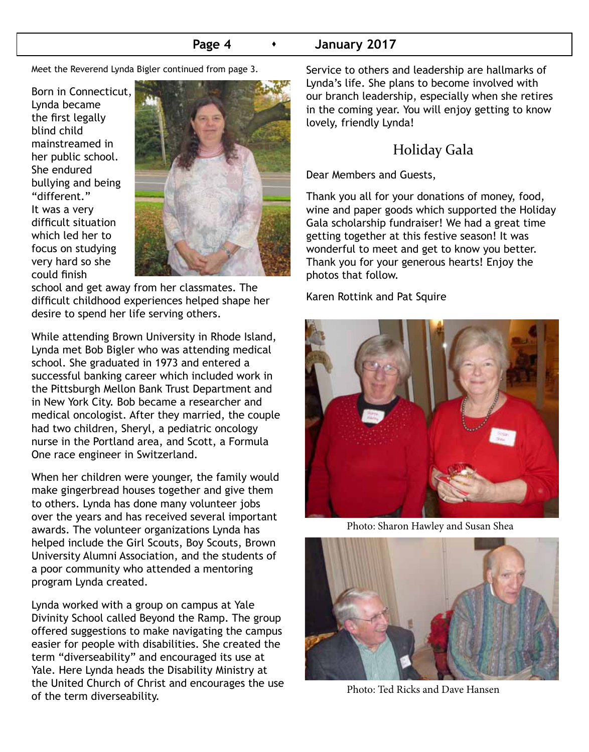### **Page 4 b 1 January 2017**

Meet the Reverend Lynda Bigler continued from page 3.

Born in Connecticut, Lynda became the first legally blind child mainstreamed in her public school. She endured bullying and being "different." It was a very difficult situation which led her to focus on studying very hard so she could finish



school and get away from her classmates. The difficult childhood experiences helped shape her desire to spend her life serving others.

While attending Brown University in Rhode Island, Lynda met Bob Bigler who was attending medical school. She graduated in 1973 and entered a successful banking career which included work in the Pittsburgh Mellon Bank Trust Department and in New York City. Bob became a researcher and medical oncologist. After they married, the couple had two children, Sheryl, a pediatric oncology nurse in the Portland area, and Scott, a Formula One race engineer in Switzerland.

When her children were younger, the family would make gingerbread houses together and give them to others. Lynda has done many volunteer jobs over the years and has received several important awards. The volunteer organizations Lynda has helped include the Girl Scouts, Boy Scouts, Brown University Alumni Association, and the students of a poor community who attended a mentoring program Lynda created.

Lynda worked with a group on campus at Yale Divinity School called Beyond the Ramp. The group offered suggestions to make navigating the campus easier for people with disabilities. She created the term "diverseability" and encouraged its use at Yale. Here Lynda heads the Disability Ministry at the United Church of Christ and encourages the use of the term diverseability.

Service to others and leadership are hallmarks of Lynda's life. She plans to become involved with our branch leadership, especially when she retires in the coming year. You will enjoy getting to know lovely, friendly Lynda!

# Holiday Gala

Dear Members and Guests,

Thank you all for your donations of money, food, wine and paper goods which supported the Holiday Gala scholarship fundraiser! We had a great time getting together at this festive season! It was wonderful to meet and get to know you better. Thank you for your generous hearts! Enjoy the photos that follow.

Karen Rottink and Pat Squire



Photo: Sharon Hawley and Susan Shea



Photo: Ted Ricks and Dave Hansen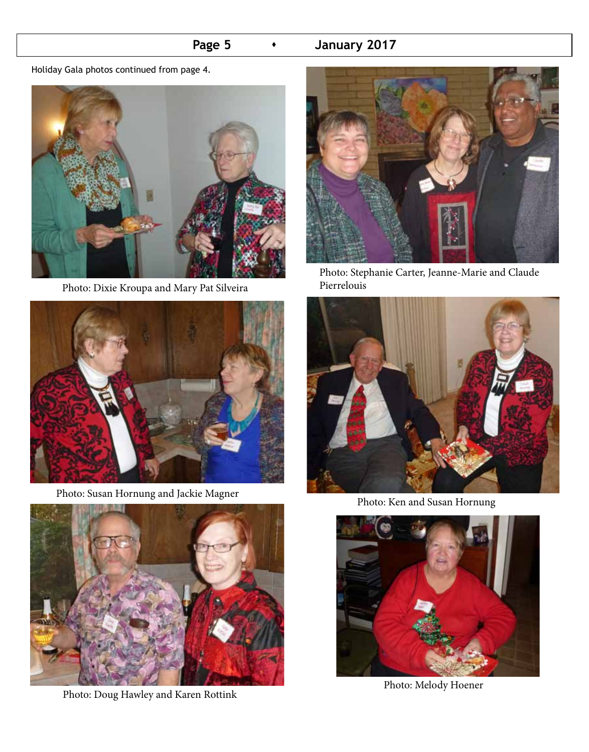# **Page 5 •** January 2017

Holiday Gala photos continued from page 4.



Photo: Dixie Kroupa and Mary Pat Silveira



Photo: Susan Hornung and Jackie Magner



Photo: Doug Hawley and Karen Rottink



Photo: Stephanie Carter, Jeanne-Marie and Claude Pierrelouis



Photo: Ken and Susan Hornung



Photo: Melody Hoener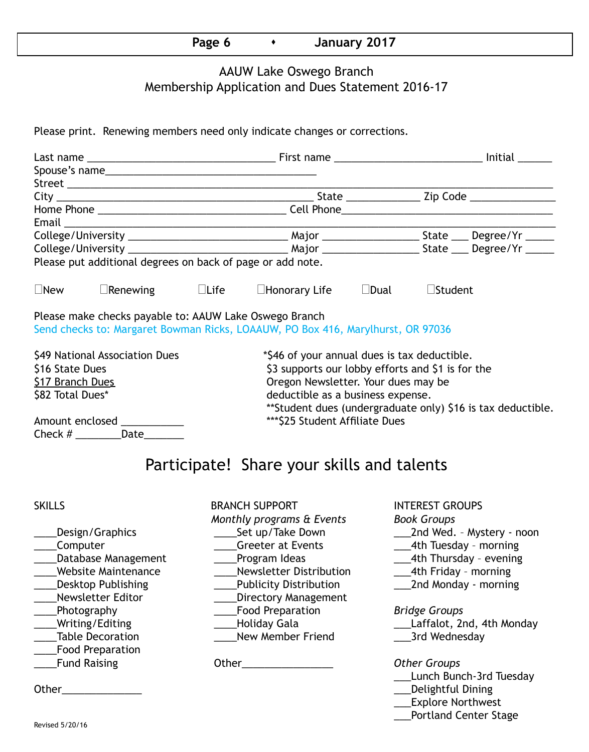# Page 6  $\longrightarrow$  January 2017

### AAUW Lake Oswego Branch Membership Application and Dues Statement 2016-17

Please print. Renewing members need only indicate changes or corrections.

|                                     | Please put additional degrees on back of page or add note. |  |                                                                                 |                |                   |                                                             |  |
|-------------------------------------|------------------------------------------------------------|--|---------------------------------------------------------------------------------|----------------|-------------------|-------------------------------------------------------------|--|
| $\square$ New                       | $\Box$ Renewing $\Box$ Life                                |  | $\square$ Honorary Life                                                         | $\square$ Dual | $\square$ Student |                                                             |  |
|                                     | Please make checks payable to: AAUW Lake Oswego Branch     |  | Send checks to: Margaret Bowman Ricks, LOAAUW, PO Box 416, Marylhurst, OR 97036 |                |                   |                                                             |  |
| \$49 National Association Dues      |                                                            |  | *\$46 of your annual dues is tax deductible.                                    |                |                   |                                                             |  |
| \$16 State Dues                     |                                                            |  | \$3 supports our lobby efforts and \$1 is for the                               |                |                   |                                                             |  |
| \$17 Branch Dues                    |                                                            |  | Oregon Newsletter. Your dues may be                                             |                |                   |                                                             |  |
| \$82 Total Dues*                    |                                                            |  | deductible as a business expense.                                               |                |                   |                                                             |  |
|                                     |                                                            |  |                                                                                 |                |                   | **Student dues (undergraduate only) \$16 is tax deductible. |  |
| Amount enclosed ____________        |                                                            |  | *** \$25 Student Affiliate Dues                                                 |                |                   |                                                             |  |
| Check # ______________Date_________ |                                                            |  |                                                                                 |                |                   |                                                             |  |
|                                     |                                                            |  |                                                                                 |                |                   |                                                             |  |

# Participate! Share your skills and talents

- \_\_\_\_Food Preparation
- SKILLS BRANCH SUPPORT INTEREST GROUPS *Monthly programs & Events Book Groups* \_\_\_\_Computer \_\_\_\_Greeter at Events \_\_\_4th Tuesday – morning Latabase Management Lating Program Ideas 2014 Latabase 2014 Management Charles Program Ideas \_\_\_\_Website Maintenance \_\_\_\_Newsletter Distribution \_\_\_4th Friday – morning \_\_\_\_Desktop Publishing \_\_\_\_Publicity Distribution \_\_\_2nd Monday - morning \_\_\_\_Newsletter Editor \_\_\_\_Directory Management \_\_\_\_Photography \_\_\_\_Food Preparation *Bridge Groups* \_\_\_\_Table Decoration \_\_\_\_New Member Friend \_\_\_3rd Wednesday \_\_\_\_Fund Raising Other\_\_\_\_\_\_\_\_\_\_\_\_\_\_\_\_ *Other Groups*
	-

- \_\_\_\_Design/Graphics \_\_\_\_Set up/Take Down \_\_\_2nd Wed. Mystery noon
	-
	-
	-
	-

- \_\_\_\_Writing/Editing \_\_\_\_Holiday Gala \_\_\_Laffalot, 2nd, 4th Monday
	-

- \_\_\_Lunch Bunch-3rd Tuesday
- Other\_\_\_\_\_\_\_\_\_\_\_\_\_\_ \_\_\_Delightful Dining
	- \_\_\_Explore Northwest
	- \_\_\_Portland Center Stage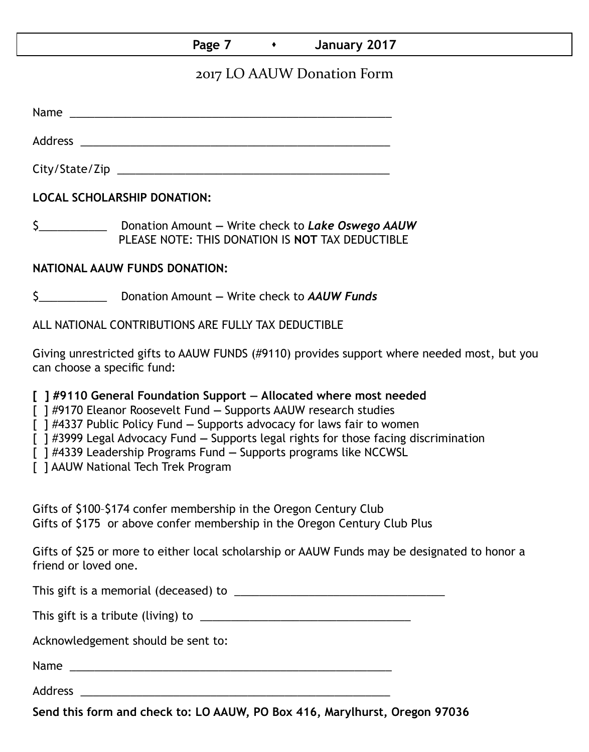## **Page 7 Case 7 Canuary 2017**

# 2017 LO AAUW Donation Form

Name  $\blacksquare$ 

Address \_\_\_\_\_\_\_\_\_\_\_\_\_\_\_\_\_\_\_\_\_\_\_\_\_\_\_\_\_\_\_\_\_\_\_\_\_\_\_\_\_\_\_\_\_\_\_\_\_\_

City/State/Zip \_\_\_\_\_\_\_\_\_\_\_\_\_\_\_\_\_\_\_\_\_\_\_\_\_\_\_\_\_\_\_\_\_\_\_\_\_\_\_\_\_\_\_\_

**LOCAL SCHOLARSHIP DONATION:**

\$\_\_\_\_\_\_\_\_\_\_\_ Donation Amount **—** Write check to *Lake Oswego AAUW* PLEASE NOTE: THIS DONATION IS **NOT** TAX DEDUCTIBLE

### **NATIONAL AAUW FUNDS DONATION:**

\$\_\_\_\_\_\_\_\_\_\_\_ Donation Amount **—** Write check to *AAUW Funds*

ALL NATIONAL CONTRIBUTIONS ARE FULLY TAX DEDUCTIBLE

Giving unrestricted gifts to AAUW FUNDS (#9110) provides support where needed most, but you can choose a specific fund:

**[ ] #9110 General Foundation Support — Allocated where most needed** 

[ ] #9170 Eleanor Roosevelt Fund **—** Supports AAUW research studies

[ ] #4337 Public Policy Fund **—** Supports advocacy for laws fair to women

[ ] #3999 Legal Advocacy Fund **—** Supports legal rights for those facing discrimination

[ ] #4339 Leadership Programs Fund **—** Supports programs like NCCWSL

[ ] AAUW National Tech Trek Program

Gifts of \$100–\$174 confer membership in the Oregon Century Club Gifts of \$175 or above confer membership in the Oregon Century Club Plus

Gifts of \$25 or more to either local scholarship or AAUW Funds may be designated to honor a friend or loved one.

This gift is a memorial (deceased) to \_\_\_\_\_\_\_\_\_\_\_\_\_\_\_\_\_\_\_\_\_\_\_\_\_\_\_\_\_\_\_\_\_\_

This gift is a tribute (living) to \_\_\_\_\_\_\_\_\_\_\_\_\_\_\_\_\_\_\_\_\_\_\_\_\_\_\_\_\_\_\_\_\_\_

Acknowledgement should be sent to:

Name \_\_\_\_\_\_\_\_\_\_\_\_\_\_\_\_\_\_\_\_\_\_\_\_\_\_\_\_\_\_\_\_\_\_\_\_\_\_\_\_\_\_\_\_\_\_\_\_\_\_\_\_

Address \_\_\_\_\_\_\_\_\_\_\_\_\_\_\_\_\_\_\_\_\_\_\_\_\_\_\_\_\_\_\_\_\_\_\_\_\_\_\_\_\_\_\_\_\_\_\_\_\_\_

**Send this form and check to: LO AAUW, PO Box 416, Marylhurst, Oregon 97036**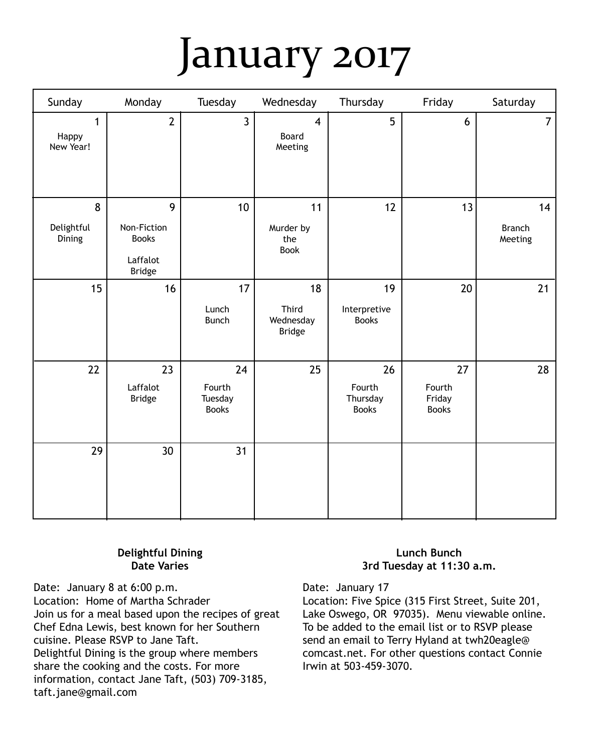# January 2017

| Sunday                             | Monday                                                        | Tuesday                                 | Wednesday                                   | Thursday                                 | Friday                                 | Saturday                       |
|------------------------------------|---------------------------------------------------------------|-----------------------------------------|---------------------------------------------|------------------------------------------|----------------------------------------|--------------------------------|
| $\mathbf{1}$<br>Happy<br>New Year! | $\overline{2}$                                                | $\overline{3}$                          | $\overline{\mathbf{4}}$<br>Board<br>Meeting | 5                                        | $6\phantom{a}$                         | $\overline{7}$                 |
| 8<br>Delightful<br>Dining          | 9<br>Non-Fiction<br><b>Books</b><br>Laffalot<br><b>Bridge</b> | 10                                      | 11<br>Murder by<br>the<br><b>Book</b>       | 12                                       | 13                                     | 14<br><b>Branch</b><br>Meeting |
| 15                                 | 16                                                            | 17<br>Lunch<br><b>Bunch</b>             | 18<br>Third<br>Wednesday<br><b>Bridge</b>   | 19<br>Interpretive<br><b>Books</b>       | 20                                     | 21                             |
| 22                                 | 23<br>Laffalot<br><b>Bridge</b>                               | 24<br>Fourth<br>Tuesday<br><b>Books</b> | 25                                          | 26<br>Fourth<br>Thursday<br><b>Books</b> | 27<br>Fourth<br>Friday<br><b>Books</b> | 28                             |
| 29                                 | 30                                                            | 31                                      |                                             |                                          |                                        |                                |

### **Delightful Dining Date Varies**

Date: January 8 at 6:00 p.m. Location: Home of Martha Schrader Join us for a meal based upon the recipes of great Chef Edna Lewis, best known for her Southern cuisine. Please RSVP to Jane Taft. Delightful Dining is the group where members share the cooking and the costs. For more information, contact Jane Taft, (503) 709-3185, taft.jane@gmail.com

### **Lunch Bunch 3rd Tuesday at 11:30 a.m.**

Date: January 17

Location: Five Spice (315 First Street, Suite 201, Lake Oswego, OR 97035). Menu viewable online. To be added to the email list or to RSVP please send an email to Terry Hyland at twh20eagle@ comcast.net. For other questions contact Connie Irwin at 503-459-3070.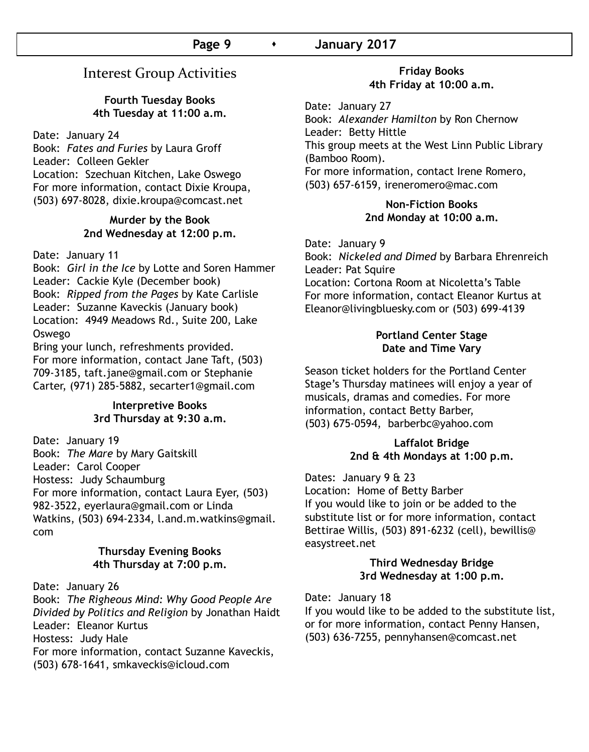## Interest Group Activities

### **Fourth Tuesday Books 4th Tuesday at 11:00 a.m.**

Date: January 24

Book: *Fates and Furies* by Laura Groff Leader: Colleen Gekler Location: Szechuan Kitchen, Lake Oswego For more information, contact Dixie Kroupa, (503) 697-8028, dixie.kroupa@comcast.net

### **Murder by the Book 2nd Wednesday at 12:00 p.m.**

### Date: January 11

Book: *Girl in the Ice* by Lotte and Soren Hammer Leader: Cackie Kyle (December book) Book: *Ripped from the Pages* by Kate Carlisle Leader: Suzanne Kaveckis (January book) Location: 4949 Meadows Rd., Suite 200, Lake Oswego

Bring your lunch, refreshments provided. For more information, contact Jane Taft, (503) 709-3185, taft.jane@gmail.com or Stephanie Carter, (971) 285-5882, secarter1@gmail.com

### **Interpretive Books 3rd Thursday at 9:30 a.m.**

Date: January 19 Book: *The Mare* by Mary Gaitskill Leader: Carol Cooper Hostess: Judy Schaumburg For more information, contact Laura Eyer, (503) 982-3522, eyerlaura@gmail.com or Linda Watkins, (503) 694-2334, l.and.m.watkins@gmail. com

### **Thursday Evening Books 4th Thursday at 7:00 p.m.**

Date: January 26

Book: *The Righeous Mind: Why Good People Are Divided by Politics and Religion* by Jonathan Haidt Leader: Eleanor Kurtus Hostess: Judy Hale For more information, contact Suzanne Kaveckis, (503) 678-1641, smkaveckis@icloud.com

### **Friday Books 4th Friday at 10:00 a.m.**

Date: January 27

Book: *Alexander Hamilton* by Ron Chernow Leader: Betty Hittle This group meets at the West Linn Public Library (Bamboo Room). For more information, contact Irene Romero, (503) 657-6159, ireneromero@mac.com

### **Non-Fiction Books 2nd Monday at 10:00 a.m.**

Date: January 9

Book: *Nickeled and Dimed* by Barbara Ehrenreich Leader: Pat Squire Location: Cortona Room at Nicoletta's Table For more information, contact Eleanor Kurtus at Eleanor@livingbluesky.com or (503) 699-4139

### **Portland Center Stage Date and Time Vary**

Season ticket holders for the Portland Center Stage's Thursday matinees will enjoy a year of musicals, dramas and comedies. For more information, contact Betty Barber, (503) 675-0594, barberbc@yahoo.com

### **Laffalot Bridge 2nd & 4th Mondays at 1:00 p.m.**

Dates: January 9 & 23

Location: Home of Betty Barber If you would like to join or be added to the substitute list or for more information, contact Bettirae Willis, (503) 891-6232 (cell), bewillis@ easystreet.net

### **Third Wednesday Bridge 3rd Wednesday at 1:00 p.m.**

### Date: January 18

If you would like to be added to the substitute list, or for more information, contact Penny Hansen, (503) 636-7255, pennyhansen@comcast.net